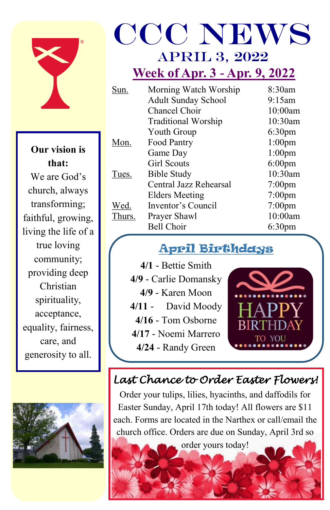

**Our vision is that:** We are God's church, always transforming; faithful, growing, living the life of a true loving community; providing deep Christian spirituality, acceptance, equality, fairness, care, and generosity to all.



## CCC News April 3, 2022

## **Week of Apr. 3 - Apr. 9, 2022**

| Sun.   | Morning Watch Worship      | 8:30am             |
|--------|----------------------------|--------------------|
|        | <b>Adult Sunday School</b> | 9:15am             |
|        | <b>Chancel Choir</b>       | $10:00$ am         |
|        | <b>Traditional Worship</b> | 10:30am            |
|        | Youth Group                | 6:30 <sub>pm</sub> |
| Mon.   | Food Pantry                | $1:00$ pm          |
|        | Game Day                   | $1:00$ pm          |
|        | <b>Girl Scouts</b>         | $6:00$ pm          |
| Tues.  | <b>Bible Study</b>         | 10:30am            |
|        | Central Jazz Rehearsal     | $7:00$ pm          |
|        | <b>Elders Meeting</b>      | $7:00$ pm          |
| Wed.   | Inventor's Council         | $7:00$ pm          |
| Thurs. | Prayer Shawl               | 10:00am            |
|        | <b>Bell Choir</b>          | 6:30 <sub>pm</sub> |

## April Birthdays

**4/1** - Bettie Smith **4/9** - Carlie Domansky **4/9** - Karen Moon **4/11** - David Moody **4/16** - Tom Osborne **4/17** - Noemi Marrero **4/24** - Randy Green



## *Last Chance to Order Easter Flowers!*

Order your tulips, lilies, hyacinths, and daffodils for Easter Sunday, April 17th today! All flowers are \$11 each. Forms are located in the Narthex or call/email the church office. Orders are due on Sunday, April 3rd so

order yours today!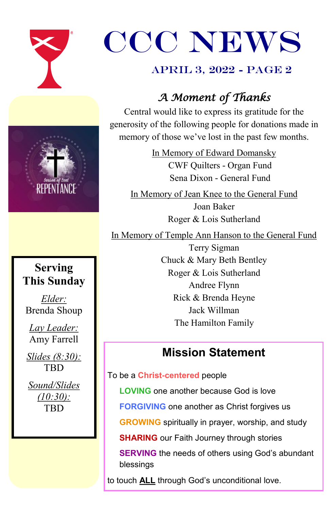

## CCC NEWS

## April 3, 2022 - page 2

## *A Moment of Thanks*

Central would like to express its gratitude for the generosity of the following people for donations made in memory of those we've lost in the past few months.

> In Memory of Edward Domansky CWF Quilters - Organ Fund Sena Dixon - General Fund

In Memory of Jean Knee to the General Fund Joan Baker Roger & Lois Sutherland

In Memory of Temple Ann Hanson to the General Fund

Terry Sigman Chuck & Mary Beth Bentley Roger & Lois Sutherland Andree Flynn Rick & Brenda Heyne Jack Willman The Hamilton Family

## **Mission Statement**

#### To be a **Christ-centered** people

**LOVING** one another because God is love

**FORGIVING** one another as Christ forgives us

**GROWING** spiritually in prayer, worship, and study

**SHARING** our Faith Journey through stories

**SERVING** the needs of others using God's abundant blessings

to touch **ALL** through God's unconditional love.

## **Serving This Sunday**

*Elder:*  Brenda Shoup

*Lay Leader:* Amy Farrell

*Slides (8:30):* TBD

*Sound/Slides (10:30):* **TRD**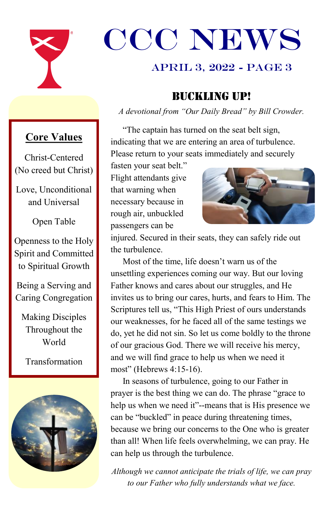

# CCC News

## April 3, 2022 - page 3

## Buckling Up!

*A devotional from "Our Daily Bread" by Bill Crowder.*

"The captain has turned on the seat belt sign, indicating that we are entering an area of turbulence. Please return to your seats immediately and securely

fasten your seat belt." Flight attendants give that warning when necessary because in rough air, unbuckled passengers can be



injured. Secured in their seats, they can safely ride out the turbulence.

Most of the time, life doesn't warn us of the unsettling experiences coming our way. But our loving Father knows and cares about our struggles, and He invites us to bring our cares, hurts, and fears to Him. The Scriptures tell us, "This High Priest of ours understands our weaknesses, for he faced all of the same testings we do, yet he did not sin. So let us come boldly to the throne of our gracious God. There we will receive his mercy, and we will find grace to help us when we need it most" (Hebrews 4:15-16).

In seasons of turbulence, going to our Father in prayer is the best thing we can do. The phrase "grace to help us when we need it"--means that is His presence we can be "buckled" in peace during threatening times, because we bring our concerns to the One who is greater than all! When life feels overwhelming, we can pray. He can help us through the turbulence.

*Although we cannot anticipate the trials of life, we can pray to our Father who fully understands what we face.* 

## **Core Values**

Christ-Centered (No creed but Christ)

Love, Unconditional and Universal

Open Table

Openness to the Holy Spirit and Committed to Spiritual Growth

Being a Serving and Caring Congregation

Making Disciples Throughout the World

Transformation